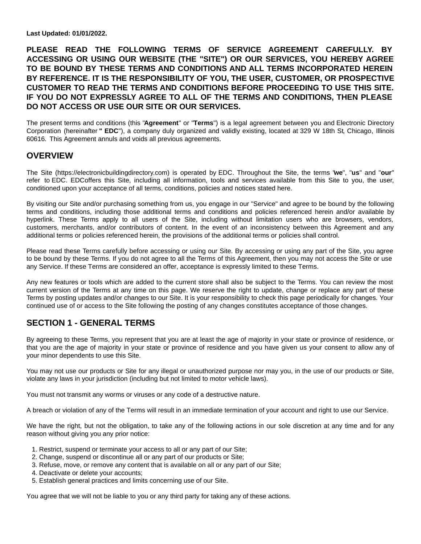**Last Updated: 01/01/2022.**

**PLEASE READ THE FOLLOWING TERMS OF SERVICE AGREEMENT CAREFULLY. BY ACCESSING OR USING OUR WEBSITE (THE "SITE") OR OUR SERVICES, YOU HEREBY AGREE TO BE BOUND BY THESE TERMS AND CONDITIONS AND ALL TERMS INCORPORATED HEREIN BY REFERENCE. IT IS THE RESPONSIBILITY OF YOU, THE USER, CUSTOMER, OR PROSPECTIVE CUSTOMER TO READ THE TERMS AND CONDITIONS BEFORE PROCEEDING TO USE THIS SITE. IF YOU DO NOT EXPRESSLY AGREE TO ALL OF THE TERMS AND CONDITIONS, THEN PLEASE DO NOT ACCESS OR USE OUR SITE OR OUR SERVICES.**

The present terms and conditions (this "**Agreement**" or "**Terms**") is a legal agreement between you and Electronic Directory Corporation (hereinafter **" EDC**"), a company duly organized and validly existing, located at 329 W 18th St, Chicago, Illinois 60616. This Agreement annuls and voids all previous agreements.

### **OVERVIEW**

The Site (https://electronicbuildingdirectory.com) is operated by EDC. Throughout the Site, the terms "**we**", "**us**" and "**our**" refer to EDC. EDCoffers this Site, including all information, tools and services available from this Site to you, the user, conditioned upon your acceptance of all terms, conditions, policies and notices stated here.

By visiting our Site and/or purchasing something from us, you engage in our "Service" and agree to be bound by the following terms and conditions, including those additional terms and conditions and policies referenced herein and/or available by hyperlink. These Terms apply to all users of the Site, including without limitation users who are browsers, vendors, customers, merchants, and/or contributors of content. In the event of an inconsistency between this Agreement and any additional terms or policies referenced herein, the provisions of the additional terms or policies shall control.

Please read these Terms carefully before accessing or using our Site. By accessing or using any part of the Site, you agree to be bound by these Terms. If you do not agree to all the Terms of this Agreement, then you may not access the Site or use any Service. If these Terms are considered an offer, acceptance is expressly limited to these Terms.

Any new features or tools which are added to the current store shall also be subject to the Terms. You can review the most current version of the Terms at any time on this page. We reserve the right to update, change or replace any part of these Terms by posting updates and/or changes to our Site. It is your responsibility to check this page periodically for changes. Your continued use of or access to the Site following the posting of any changes constitutes acceptance of those changes.

# **SECTION 1 - GENERAL TERMS**

By agreeing to these Terms, you represent that you are at least the age of majority in your state or province of residence, or that you are the age of majority in your state or province of residence and you have given us your consent to allow any of your minor dependents to use this Site.

You may not use our products or Site for any illegal or unauthorized purpose nor may you, in the use of our products or Site, violate any laws in your jurisdiction (including but not limited to motor vehicle laws).

You must not transmit any worms or viruses or any code of a destructive nature.

A breach or violation of any of the Terms will result in an immediate termination of your account and right to use our Service.

We have the right, but not the obligation, to take any of the following actions in our sole discretion at any time and for any reason without giving you any prior notice:

- 1. Restrict, suspend or terminate your access to all or any part of our Site;
- 2. Change, suspend or discontinue all or any part of our products or Site;
- 3. Refuse, move, or remove any content that is available on all or any part of our Site;
- 4. Deactivate or delete your accounts;
- 5. Establish general practices and limits concerning use of our Site.

You agree that we will not be liable to you or any third party for taking any of these actions.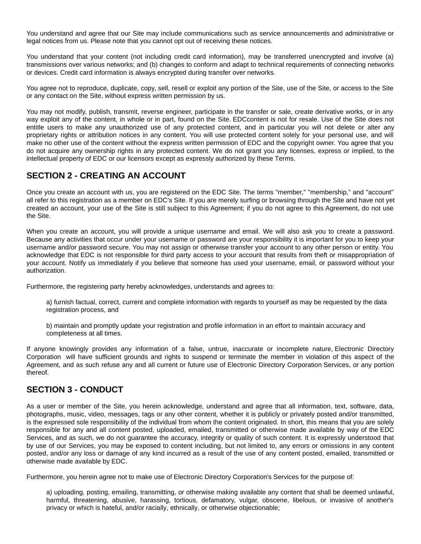You understand and agree that our Site may include communications such as service announcements and administrative or legal notices from us. Please note that you cannot opt out of receiving these notices.

You understand that your content (not including credit card information), may be transferred unencrypted and involve (a) transmissions over various networks; and (b) changes to conform and adapt to technical requirements of connecting networks or devices. Credit card information is always encrypted during transfer over networks.

You agree not to reproduce, duplicate, copy, sell, resell or exploit any portion of the Site, use of the Site, or access to the Site or any contact on the Site, without express written permission by us.

You may not modify, publish, transmit, reverse engineer, participate in the transfer or sale, create derivative works, or in any way exploit any of the content, in whole or in part, found on the Site. EDCcontent is not for resale. Use of the Site does not entitle users to make any unauthorized use of any protected content, and in particular you will not delete or alter any proprietary rights or attribution notices in any content. You will use protected content solely for your personal use, and will make no other use of the content without the express written permission of EDC and the copyright owner. You agree that you do not acquire any ownership rights in any protected content. We do not grant you any licenses, express or implied, to the intellectual property of EDC or our licensors except as expressly authorized by these Terms.

# **SECTION 2 - CREATING AN ACCOUNT**

Once you create an account with us, you are registered on the EDC Site. The terms "member," "membership," and "account" all refer to this registration as a member on EDC's Site. If you are merely surfing or browsing through the Site and have not yet created an account, your use of the Site is still subject to this Agreement; if you do not agree to this Agreement, do not use the Site.

When you create an account, you will provide a unique username and email. We will also ask you to create a password. Because any activities that occur under your username or password are your responsibility it is important for you to keep your username and/or password secure. You may not assign or otherwise transfer your account to any other person or entity. You acknowledge that EDC is not responsible for third party access to your account that results from theft or misappropriation of your account. Notify us immediately if you believe that someone has used your username, email, or password without your authorization.

Furthermore, the registering party hereby acknowledges, understands and agrees to:

a) furnish factual, correct, current and complete information with regards to yourself as may be requested by the data registration process, and

b) maintain and promptly update your registration and profile information in an effort to maintain accuracy and completeness at all times.

If anyone knowingly provides any information of a false, untrue, inaccurate or incomplete nature, Electronic Directory Corporation will have sufficient grounds and rights to suspend or terminate the member in violation of this aspect of the Agreement, and as such refuse any and all current or future use of Electronic Directory Corporation Services, or any portion thereof.

# **SECTION 3 - CONDUCT**

As a user or member of the Site, you herein acknowledge, understand and agree that all information, text, software, data, photographs, music, video, messages, tags or any other content, whether it is publicly or privately posted and/or transmitted, is the expressed sole responsibility of the individual from whom the content originated. In short, this means that you are solely responsible for any and all content posted, uploaded, emailed, transmitted or otherwise made available by way of the EDC Services, and as such, we do not guarantee the accuracy, integrity or quality of such content. It is expressly understood that by use of our Services, you may be exposed to content including, but not limited to, any errors or omissions in any content posted, and/or any loss or damage of any kind incurred as a result of the use of any content posted, emailed, transmitted or otherwise made available by EDC.

Furthermore, you herein agree not to make use of Electronic Directory Corporation's Services for the purpose of:

a) uploading, posting, emailing, transmitting, or otherwise making available any content that shall be deemed unlawful, harmful, threatening, abusive, harassing, tortious, defamatory, vulgar, obscene, libelous, or invasive of another's privacy or which is hateful, and/or racially, ethnically, or otherwise objectionable;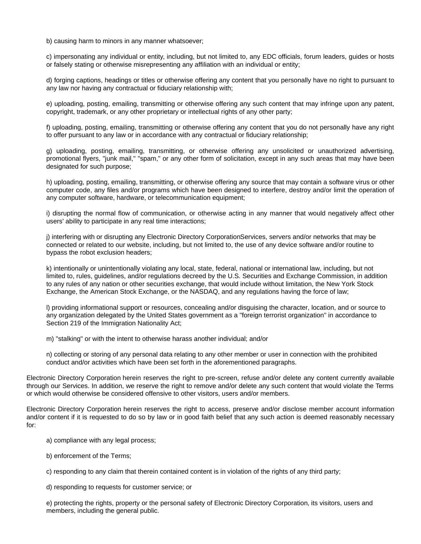b) causing harm to minors in any manner whatsoever;

c) impersonating any individual or entity, including, but not limited to, any EDC officials, forum leaders, guides or hosts or falsely stating or otherwise misrepresenting any affiliation with an individual or entity;

d) forging captions, headings or titles or otherwise offering any content that you personally have no right to pursuant to any law nor having any contractual or fiduciary relationship with;

e) uploading, posting, emailing, transmitting or otherwise offering any such content that may infringe upon any patent, copyright, trademark, or any other proprietary or intellectual rights of any other party;

f) uploading, posting, emailing, transmitting or otherwise offering any content that you do not personally have any right to offer pursuant to any law or in accordance with any contractual or fiduciary relationship;

g) uploading, posting, emailing, transmitting, or otherwise offering any unsolicited or unauthorized advertising, promotional flyers, "junk mail," "spam," or any other form of solicitation, except in any such areas that may have been designated for such purpose;

h) uploading, posting, emailing, transmitting, or otherwise offering any source that may contain a software virus or other computer code, any files and/or programs which have been designed to interfere, destroy and/or limit the operation of any computer software, hardware, or telecommunication equipment;

i) disrupting the normal flow of communication, or otherwise acting in any manner that would negatively affect other users' ability to participate in any real time interactions;

j) interfering with or disrupting any Electronic Directory CorporationServices, servers and/or networks that may be connected or related to our website, including, but not limited to, the use of any device software and/or routine to bypass the robot exclusion headers;

k) intentionally or unintentionally violating any local, state, federal, national or international law, including, but not limited to, rules, guidelines, and/or regulations decreed by the U.S. Securities and Exchange Commission, in addition to any rules of any nation or other securities exchange, that would include without limitation, the New York Stock Exchange, the American Stock Exchange, or the NASDAQ, and any regulations having the force of law;

l) providing informational support or resources, concealing and/or disguising the character, location, and or source to any organization delegated by the United States government as a "foreign terrorist organization" in accordance to Section 219 of the Immigration Nationality Act;

m) "stalking" or with the intent to otherwise harass another individual; and/or

n) collecting or storing of any personal data relating to any other member or user in connection with the prohibited conduct and/or activities which have been set forth in the aforementioned paragraphs.

Electronic Directory Corporation herein reserves the right to pre-screen, refuse and/or delete any content currently available through our Services. In addition, we reserve the right to remove and/or delete any such content that would violate the Terms or which would otherwise be considered offensive to other visitors, users and/or members.

Electronic Directory Corporation herein reserves the right to access, preserve and/or disclose member account information and/or content if it is requested to do so by law or in good faith belief that any such action is deemed reasonably necessary for:

a) compliance with any legal process;

b) enforcement of the Terms;

c) responding to any claim that therein contained content is in violation of the rights of any third party;

d) responding to requests for customer service; or

e) protecting the rights, property or the personal safety of Electronic Directory Corporation, its visitors, users and members, including the general public.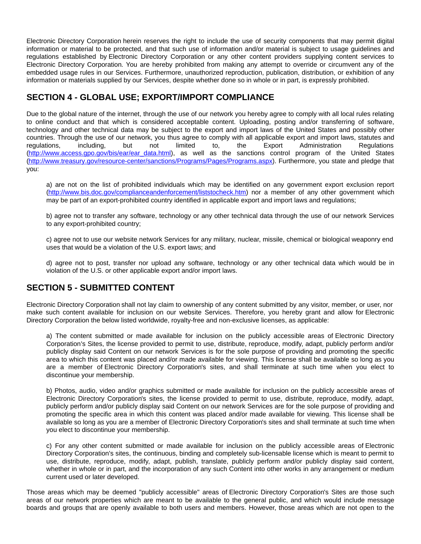Electronic Directory Corporation herein reserves the right to include the use of security components that may permit digital information or material to be protected, and that such use of information and/or material is subject to usage guidelines and regulations established by Electronic Directory Corporation or any other content providers supplying content services to Electronic Directory Corporation. You are hereby prohibited from making any attempt to override or circumvent any of the embedded usage rules in our Services. Furthermore, unauthorized reproduction, publication, distribution, or exhibition of any information or materials supplied by our Services, despite whether done so in whole or in part, is expressly prohibited.

# **SECTION 4 - GLOBAL USE; EXPORT/IMPORT COMPLIANCE**

Due to the global nature of the internet, through the use of our network you hereby agree to comply with all local rules relating to online conduct and that which is considered acceptable content. Uploading, posting and/or transferring of software, technology and other technical data may be subject to the export and import laws of the United States and possibly other countries. Through the use of our network, you thus agree to comply with all applicable export and import laws, statutes and regulations, including, but not limited to, the Export Administration Regulations [\(http://www.access.gpo.gov/bis/ear/ear\\_data.html](http://www.access.gpo.gov/bis/ear/ear_data.html)), as well as the sanctions control program of the United States [\(http://www.treasury.gov/resource-center/sanctions/Programs/Pages/Programs.aspx](http://www.treasury.gov/resource-center/sanctions/Programs/Pages/Programs.aspx)). Furthermore, you state and pledge that you:

a) are not on the list of prohibited individuals which may be identified on any government export exclusion report [\(http://www.bis.doc.gov/complianceandenforcement/liststocheck.htm](http://www.bis.doc.gov/complianceandenforcement/liststocheck.htm)) nor a member of any other government which may be part of an export-prohibited country identified in applicable export and import laws and regulations;

b) agree not to transfer any software, technology or any other technical data through the use of our network Services to any export-prohibited country;

c) agree not to use our website network Services for any military, nuclear, missile, chemical or biological weaponry end uses that would be a violation of the U.S. export laws; and

d) agree not to post, transfer nor upload any software, technology or any other technical data which would be in violation of the U.S. or other applicable export and/or import laws.

# **SECTION 5 - SUBMITTED CONTENT**

Electronic Directory Corporation shall not lay claim to ownership of any content submitted by any visitor, member, or user, nor make such content available for inclusion on our website Services. Therefore, you hereby grant and allow for Electronic Directory Corporation the below listed worldwide, royalty-free and non-exclusive licenses, as applicable:

a) The content submitted or made available for inclusion on the publicly accessible areas of Electronic Directory Corporation's Sites, the license provided to permit to use, distribute, reproduce, modify, adapt, publicly perform and/or publicly display said Content on our network Services is for the sole purpose of providing and promoting the specific area to which this content was placed and/or made available for viewing. This license shall be available so long as you are a member of Electronic Directory Corporation's sites, and shall terminate at such time when you elect to discontinue your membership.

b) Photos, audio, video and/or graphics submitted or made available for inclusion on the publicly accessible areas of Electronic Directory Corporation's sites, the license provided to permit to use, distribute, reproduce, modify, adapt, publicly perform and/or publicly display said Content on our network Services are for the sole purpose of providing and promoting the specific area in which this content was placed and/or made available for viewing. This license shall be available so long as you are a member of Electronic Directory Corporation's sites and shall terminate at such time when you elect to discontinue your membership.

c) For any other content submitted or made available for inclusion on the publicly accessible areas of Electronic Directory Corporation's sites, the continuous, binding and completely sub-licensable license which is meant to permit to use, distribute, reproduce, modify, adapt, publish, translate, publicly perform and/or publicly display said content, whether in whole or in part, and the incorporation of any such Content into other works in any arrangement or medium current used or later developed.

Those areas which may be deemed "publicly accessible" areas of Electronic Directory Corporation's Sites are those such areas of our network properties which are meant to be available to the general public, and which would include message boards and groups that are openly available to both users and members. However, those areas which are not open to the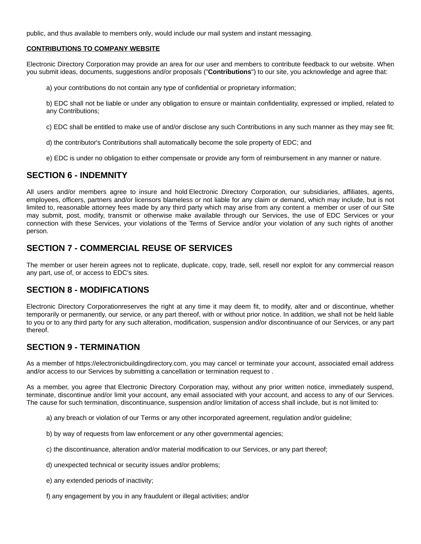public, and thus available to members only, would include our mail system and instant messaging.

#### **CONTRIBUTIONS TO COMPANY WEBSITE**

Electronic Directory Corporation may provide an area for our user and members to contribute feedback to our website. When you submit ideas, documents, suggestions and/or proposals ("**Contributions**") to our site, you acknowledge and agree that:

a) your contributions do not contain any type of confidential or proprietary information;

b) EDC shall not be liable or under any obligation to ensure or maintain confidentiality, expressed or implied, related to any Contributions;

c) EDC shall be entitled to make use of and/or disclose any such Contributions in any such manner as they may see fit;

- d) the contributor's Contributions shall automatically become the sole property of EDC; and
- e) EDC is under no obligation to either compensate or provide any form of reimbursement in any manner or nature.

### **SECTION 6 - INDEMNITY**

All users and/or members agree to insure and hold Electronic Directory Corporation, our subsidiaries, affiliates, agents, employees, officers, partners and/or licensors blameless or not liable for any claim or demand, which may include, but is not limited to, reasonable attorney fees made by any third party which may arise from any content a member or user of our Site may submit, post, modify, transmit or otherwise make available through our Services, the use of EDC Services or your connection with these Services, your violations of the Terms of Service and/or your violation of any such rights of another person.

# **SECTION 7 - COMMERCIAL REUSE OF SERVICES**

The member or user herein agrees not to replicate, duplicate, copy, trade, sell, resell nor exploit for any commercial reason any part, use of, or access to EDC's sites.

#### **SECTION 8 - MODIFICATIONS**

Electronic Directory Corporationreserves the right at any time it may deem fit, to modify, alter and or discontinue, whether temporarily or permanently, our service, or any part thereof, with or without prior notice. In addition, we shall not be held liable to you or to any third party for any such alteration, modification, suspension and/or discontinuance of our Services, or any part thereof.

#### **SECTION 9 - TERMINATION**

As a member of https://electronicbuildingdirectory.com, you may cancel or terminate your account, associated email address and/or access to our Services by submitting a cancellation or termination request to .

As a member, you agree that Electronic Directory Corporation may, without any prior written notice, immediately suspend, terminate, discontinue and/or limit your account, any email associated with your account, and access to any of our Services. The cause for such termination, discontinuance, suspension and/or limitation of access shall include, but is not limited to:

- a) any breach or violation of our Terms or any other incorporated agreement, regulation and/or guideline;
- b) by way of requests from law enforcement or any other governmental agencies;
- c) the discontinuance, alteration and/or material modification to our Services, or any part thereof;
- d) unexpected technical or security issues and/or problems;
- e) any extended periods of inactivity;
- f) any engagement by you in any fraudulent or illegal activities; and/or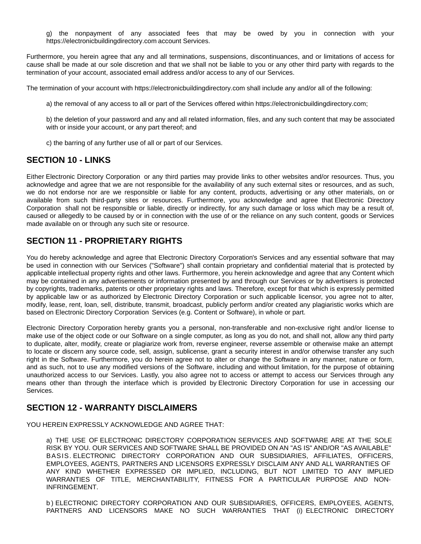g) the nonpayment of any associated fees that may be owed by you in connection with your https://electronicbuildingdirectory.com account Services.

Furthermore, you herein agree that any and all terminations, suspensions, discontinuances, and or limitations of access for cause shall be made at our sole discretion and that we shall not be liable to you or any other third party with regards to the termination of your account, associated email address and/or access to any of our Services.

The termination of your account with https://electronicbuildingdirectory.com shall include any and/or all of the following:

a) the removal of any access to all or part of the Services offered within https://electronicbuildingdirectory.com;

b) the deletion of your password and any and all related information, files, and any such content that may be associated with or inside your account, or any part thereof; and

c) the barring of any further use of all or part of our Services.

### **SECTION 10 - LINKS**

Either Electronic Directory Corporation or any third parties may provide links to other websites and/or resources. Thus, you acknowledge and agree that we are not responsible for the availability of any such external sites or resources, and as such, we do not endorse nor are we responsible or liable for any content, products, advertising or any other materials, on or available from such third-party sites or resources. Furthermore, you acknowledge and agree that Electronic Directory Corporation shall not be responsible or liable, directly or indirectly, for any such damage or loss which may be a result of, caused or allegedly to be caused by or in connection with the use of or the reliance on any such content, goods or Services made available on or through any such site or resource.

# **SECTION 11 - PROPRIETARY RIGHTS**

You do hereby acknowledge and agree that Electronic Directory Corporation's Services and any essential software that may be used in connection with our Services ("Software") shall contain proprietary and confidential material that is protected by applicable intellectual property rights and other laws. Furthermore, you herein acknowledge and agree that any Content which may be contained in any advertisements or information presented by and through our Services or by advertisers is protected by copyrights, trademarks, patents or other proprietary rights and laws. Therefore, except for that which is expressly permitted by applicable law or as authorized by Electronic Directory Corporation or such applicable licensor, you agree not to alter, modify, lease, rent, loan, sell, distribute, transmit, broadcast, publicly perform and/or created any plagiaristic works which are based on Electronic Directory Corporation Services (e.g. Content or Software), in whole or part.

Electronic Directory Corporation hereby grants you a personal, non-transferable and non-exclusive right and/or license to make use of the object code or our Software on a single computer, as long as you do not, and shall not, allow any third party to duplicate, alter, modify, create or plagiarize work from, reverse engineer, reverse assemble or otherwise make an attempt to locate or discern any source code, sell, assign, sublicense, grant a security interest in and/or otherwise transfer any such right in the Software. Furthermore, you do herein agree not to alter or change the Software in any manner, nature or form, and as such, not to use any modified versions of the Software, including and without limitation, for the purpose of obtaining unauthorized access to our Services. Lastly, you also agree not to access or attempt to access our Services through any means other than through the interface which is provided by Electronic Directory Corporation for use in accessing our Services.

# **SECTION 12 - WARRANTY DISCLAIMERS**

YOU HEREIN EXPRESSLY ACKNOWLEDGE AND AGREE THAT:

a) THE USE OF ELECTRONIC DIRECTORY CORPORATION SERVICES AND SOFTWARE ARE AT THE SOLE RISK BY YOU. OUR SERVICES AND SOFTWARE SHALL BE PROVIDED ON AN "AS IS" AND/OR "AS AVAILABLE" BASIS. ELECTRONIC DIRECTORY CORPORATION AND OUR SUBSIDIARIES, AFFILIATES, OFFICERS, EMPLOYEES, AGENTS, PARTNERS AND LICENSORS EXPRESSLY DISCLAIM ANY AND ALL WARRANTIES OF ANY KIND WHETHER EXPRESSED OR IMPLIED, INCLUDING, BUT NOT LIMITED TO ANY IMPLIED WARRANTIES OF TITLE, MERCHANTABILITY, FITNESS FOR A PARTICULAR PURPOSE AND NON-INFRINGEMENT.

b ) ELECTRONIC DIRECTORY CORPORATION AND OUR SUBSIDIARIES, OFFICERS, EMPLOYEES, AGENTS, PARTNERS AND LICENSORS MAKE NO SUCH WARRANTIES THAT (i) ELECTRONIC DIRECTORY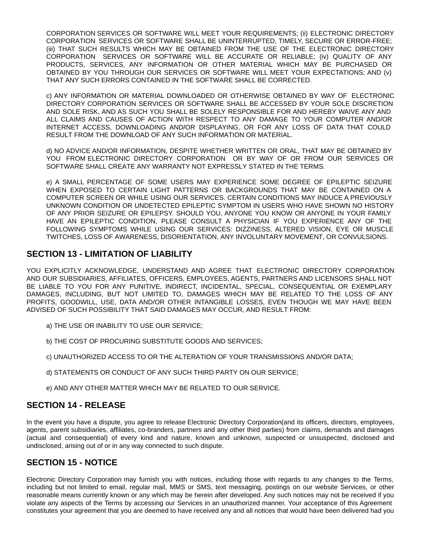CORPORATION SERVICES OR SOFTWARE WILL MEET YOUR REQUIREMENTS; (ii) ELECTRONIC DIRECTORY CORPORATION SERVICES OR SOFTWARE SHALL BE UNINTERRUPTED, TIMELY, SECURE OR ERROR-FREE; (iii) THAT SUCH RESULTS WHICH MAY BE OBTAINED FROM THE USE OF THE ELECTRONIC DIRECTORY CORPORATION SERVICES OR SOFTWARE WILL BE ACCURATE OR RELIABLE; (iv) QUALITY OF ANY PRODUCTS, SERVICES, ANY INFORMATION OR OTHER MATERIAL WHICH MAY BE PURCHASED OR OBTAINED BY YOU THROUGH OUR SERVICES OR SOFTWARE WILL MEET YOUR EXPECTATIONS; AND (v) THAT ANY SUCH ERRORS CONTAINED IN THE SOFTWARE SHALL BE CORRECTED.

c) ANY INFORMATION OR MATERIAL DOWNLOADED OR OTHERWISE OBTAINED BY WAY OF ELECTRONIC DIRECTORY CORPORATION SERVICES OR SOFTWARE SHALL BE ACCESSED BY YOUR SOLE DISCRETION AND SOLE RISK, AND AS SUCH YOU SHALL BE SOLELY RESPONSIBLE FOR AND HEREBY WAIVE ANY AND ALL CLAIMS AND CAUSES OF ACTION WITH RESPECT TO ANY DAMAGE TO YOUR COMPUTER AND/OR INTERNET ACCESS, DOWNLOADING AND/OR DISPLAYING, OR FOR ANY LOSS OF DATA THAT COULD RESULT FROM THE DOWNLOAD OF ANY SUCH INFORMATION OR MATERIAL.

d) NO ADVICE AND/OR INFORMATION, DESPITE WHETHER WRITTEN OR ORAL, THAT MAY BE OBTAINED BY YOU FROM ELECTRONIC DIRECTORY CORPORATION OR BY WAY OF OR FROM OUR SERVICES OR SOFTWARE SHALL CREATE ANY WARRANTY NOT EXPRESSLY STATED IN THE TERMS.

e) A SMALL PERCENTAGE OF SOME USERS MAY EXPERIENCE SOME DEGREE OF EPILEPTIC SEIZURE WHEN EXPOSED TO CERTAIN LIGHT PATTERNS OR BACKGROUNDS THAT MAY BE CONTAINED ON A COMPUTER SCREEN OR WHILE USING OUR SERVICES. CERTAIN CONDITIONS MAY INDUCE A PREVIOUSLY UNKNOWN CONDITION OR UNDETECTED EPILEPTIC SYMPTOM IN USERS WHO HAVE SHOWN NO HISTORY OF ANY PRIOR SEIZURE OR EPILEPSY. SHOULD YOU, ANYONE YOU KNOW OR ANYONE IN YOUR FAMILY HAVE AN EPILEPTIC CONDITION, PLEASE CONSULT A PHYSICIAN IF YOU EXPERIENCE ANY OF THE FOLLOWING SYMPTOMS WHILE USING OUR SERVICES: DIZZINESS, ALTERED VISION, EYE OR MUSCLE TWITCHES, LOSS OF AWARENESS, DISORIENTATION, ANY INVOLUNTARY MOVEMENT, OR CONVULSIONS.

### **SECTION 13 - LIMITATION OF LIABILITY**

YOU EXPLICITLY ACKNOWLEDGE, UNDERSTAND AND AGREE THAT ELECTRONIC DIRECTORY CORPORATION AND OUR SUBSIDIARIES, AFFILIATES, OFFICERS, EMPLOYEES, AGENTS, PARTNERS AND LICENSORS SHALL NOT BE LIABLE TO YOU FOR ANY PUNITIVE, INDIRECT, INCIDENTAL, SPECIAL, CONSEQUENTIAL OR EXEMPLARY DAMAGES, INCLUDING, BUT NOT LIMITED TO, DAMAGES WHICH MAY BE RELATED TO THE LOSS OF ANY PROFITS, GOODWILL, USE, DATA AND/OR OTHER INTANGIBLE LOSSES, EVEN THOUGH WE MAY HAVE BEEN ADVISED OF SUCH POSSIBILITY THAT SAID DAMAGES MAY OCCUR, AND RESULT FROM:

- a) THE USE OR INABILITY TO USE OUR SERVICE;
- b) THE COST OF PROCURING SUBSTITUTE GOODS AND SERVICES;
- c) UNAUTHORIZED ACCESS TO OR THE ALTERATION OF YOUR TRANSMISSIONS AND/OR DATA;
- d) STATEMENTS OR CONDUCT OF ANY SUCH THIRD PARTY ON OUR SERVICE;
- e) AND ANY OTHER MATTER WHICH MAY BE RELATED TO OUR SERVICE.

#### **SECTION 14 - RELEASE**

In the event you have a dispute, you agree to release Electronic Directory Corporation(and its officers, directors, employees, agents, parent subsidiaries, affiliates, co-branders, partners and any other third parties) from claims, demands and damages (actual and consequential) of every kind and nature, known and unknown, suspected or unsuspected, disclosed and undisclosed, arising out of or in any way connected to such dispute.

#### **SECTION 15 - NOTICE**

Electronic Directory Corporation may furnish you with notices, including those with regards to any changes to the Terms, including but not limited to email, regular mail, MMS or SMS, text messaging, postings on our website Services, or other reasonable means currently known or any which may be herein after developed. Any such notices may not be received if you violate any aspects of the Terms by accessing our Services in an unauthorized manner. Your acceptance of this Agreement constitutes your agreement that you are deemed to have received any and all notices that would have been delivered had you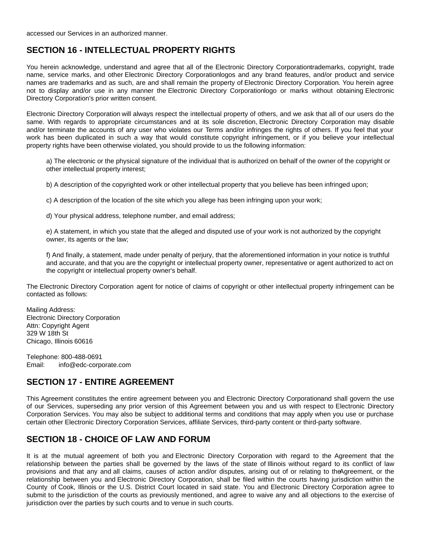# **SECTION 16 - INTELLECTUAL PROPERTY RIGHTS**

You herein acknowledge, understand and agree that all of the Electronic Directory Corporationtrademarks, copyright, trade name, service marks, and other Electronic Directory Corporationlogos and any brand features, and/or product and service names are trademarks and as such, are and shall remain the property of Electronic Directory Corporation. You herein agree not to display and/or use in any manner the Electronic Directory Corporationlogo or marks without obtaining Electronic Directory Corporation's prior written consent.

Electronic Directory Corporation will always respect the intellectual property of others, and we ask that all of our users do the same. With regards to appropriate circumstances and at its sole discretion, Electronic Directory Corporation may disable and/or terminate the accounts of any user who violates our Terms and/or infringes the rights of others. If you feel that your work has been duplicated in such a way that would constitute copyright infringement, or if you believe your intellectual property rights have been otherwise violated, you should provide to us the following information:

a) The electronic or the physical signature of the individual that is authorized on behalf of the owner of the copyright or other intellectual property interest;

b) A description of the copyrighted work or other intellectual property that you believe has been infringed upon;

c) A description of the location of the site which you allege has been infringing upon your work;

d) Your physical address, telephone number, and email address;

e) A statement, in which you state that the alleged and disputed use of your work is not authorized by the copyright owner, its agents or the law;

f) And finally, a statement, made under penalty of perjury, that the aforementioned information in your notice is truthful and accurate, and that you are the copyright or intellectual property owner, representative or agent authorized to act on the copyright or intellectual property owner's behalf.

The Electronic Directory Corporation agent for notice of claims of copyright or other intellectual property infringement can be contacted as follows:

Mailing Address: Electronic Directory Corporation Attn: Copyright Agent 329 W 18th St Chicago, Illinois 60616

Telephone: 800-488-0691 Email: info@edc-corporate.com

#### **SECTION 17 - ENTIRE AGREEMENT**

This Agreement constitutes the entire agreement between you and Electronic Directory Corporationand shall govern the use of our Services, superseding any prior version of this Agreement between you and us with respect to Electronic Directory Corporation Services. You may also be subject to additional terms and conditions that may apply when you use or purchase certain other Electronic Directory Corporation Services, affiliate Services, third-party content or third-party software.

### **SECTION 18 - CHOICE OF LAW AND FORUM**

It is at the mutual agreement of both you and Electronic Directory Corporation with regard to the Agreement that the relationship between the parties shall be governed by the laws of the state of Illinois without regard to its conflict of law provisions and that any and all claims, causes of action and/or disputes, arising out of or relating to theAgreement, or the relationship between you and Electronic Directory Corporation, shall be filed within the courts having jurisdiction within the County of Cook, Illinois or the U.S. District Court located in said state. You and Electronic Directory Corporation agree to submit to the jurisdiction of the courts as previously mentioned, and agree to waive any and all objections to the exercise of jurisdiction over the parties by such courts and to venue in such courts.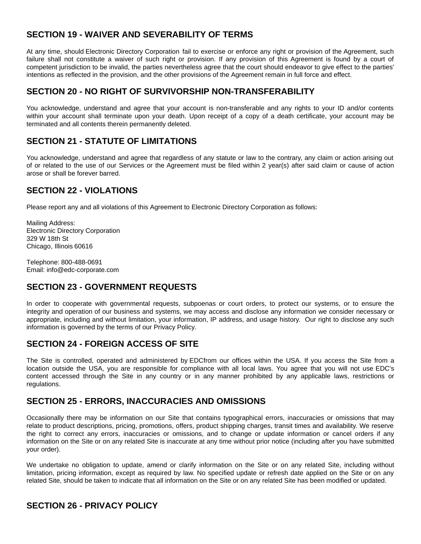# **SECTION 19 - WAIVER AND SEVERABILITY OF TERMS**

At any time, should Electronic Directory Corporation fail to exercise or enforce any right or provision of the Agreement, such failure shall not constitute a waiver of such right or provision. If any provision of this Agreement is found by a court of competent jurisdiction to be invalid, the parties nevertheless agree that the court should endeavor to give effect to the parties' intentions as reflected in the provision, and the other provisions of the Agreement remain in full force and effect.

### **SECTION 20 - NO RIGHT OF SURVIVORSHIP NON-TRANSFERABILITY**

You acknowledge, understand and agree that your account is non-transferable and any rights to your ID and/or contents within your account shall terminate upon your death. Upon receipt of a copy of a death certificate, your account may be terminated and all contents therein permanently deleted.

# **SECTION 21 - STATUTE OF LIMITATIONS**

You acknowledge, understand and agree that regardless of any statute or law to the contrary, any claim or action arising out of or related to the use of our Services or the Agreement must be filed within 2 year(s) after said claim or cause of action arose or shall be forever barred.

# **SECTION 22 - VIOLATIONS**

Please report any and all violations of this Agreement to Electronic Directory Corporation as follows:

Mailing Address: Electronic Directory Corporation 329 W 18th St Chicago, Illinois 60616

Telephone: 800-488-0691 Email: info@edc-corporate.com

# **SECTION 23 - GOVERNMENT REQUESTS**

In order to cooperate with governmental requests, subpoenas or court orders, to protect our systems, or to ensure the integrity and operation of our business and systems, we may access and disclose any information we consider necessary or appropriate, including and without limitation, your information, IP address, and usage history. Our right to disclose any such information is governed by the terms of our Privacy Policy.

# **SECTION 24 - FOREIGN ACCESS OF SITE**

The Site is controlled, operated and administered by EDCfrom our offices within the USA. If you access the Site from a location outside the USA, you are responsible for compliance with all local laws. You agree that you will not use EDC's content accessed through the Site in any country or in any manner prohibited by any applicable laws, restrictions or regulations.

# **SECTION 25 - ERRORS, INACCURACIES AND OMISSIONS**

Occasionally there may be information on our Site that contains typographical errors, inaccuracies or omissions that may relate to product descriptions, pricing, promotions, offers, product shipping charges, transit times and availability. We reserve the right to correct any errors, inaccuracies or omissions, and to change or update information or cancel orders if any information on the Site or on any related Site is inaccurate at any time without prior notice (including after you have submitted your order).

We undertake no obligation to update, amend or clarify information on the Site or on any related Site, including without limitation, pricing information, except as required by law. No specified update or refresh date applied on the Site or on any related Site, should be taken to indicate that all information on the Site or on any related Site has been modified or updated.

# **SECTION 26 - PRIVACY POLICY**